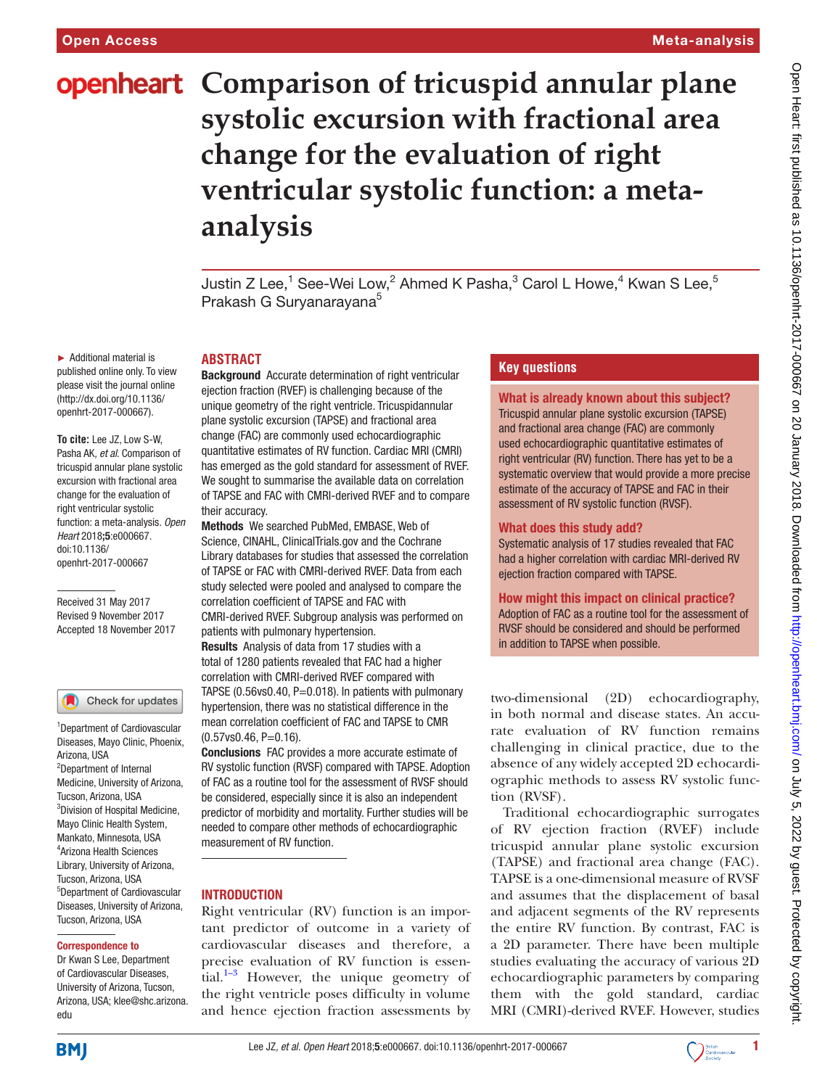# **openheart** Comparison of tricuspid annular plane **systolic excursion with fractional area change for the evaluation of right ventricular systolic function: a metaanalysis**

Justin Z Lee, $^1$  See-Wei Low, $^2$  Ahmed K Pasha, $^3$  Carol L Howe, $^4$  Kwan S Lee, $^5$ Prakash G Suryanarayana<sup>5</sup>

#### **Abstract**

► Additional material is published online only. To view please visit the journal online (http://dx.doi.org/10.1136/ openhrt-2017-000667).

**To cite:** Lee JZ, Low S-W, Pasha AK*, et al*. Comparison of tricuspid annular plane systolic excursion with fractional area change for the evaluation of right ventricular systolic function: a meta-analysis*. Open Heart* 2018;5:e000667. doi:10.1136/ openhrt-2017-000667

Received 31 May 2017 Revised 9 November 2017 Accepted 18 November 2017

#### Check for updates

1 Department of Cardiovascular Diseases, Mayo Clinic, Phoenix, Arizona, USA 2 Department of Internal Medicine, University of Arizona, Tucson, Arizona, USA 3 Division of Hospital Medicine, Mayo Clinic Health System, Mankato, Minnesota, USA 4 Arizona Health Sciences Library, University of Arizona, Tucson, Arizona, USA 5 Department of Cardiovascular Diseases, University of Arizona, Tucson, Arizona, USA

#### Correspondence to

Dr Kwan S Lee, Department of Cardiovascular Diseases, University of Arizona, Tucson, Arizona, USA; klee@shc.arizona. edu

Background Accurate determination of right ventricular ejection fraction (RVEF) is challenging because of the unique geometry of the right ventricle. Tricuspidannular plane systolic excursion (TAPSE) and fractional area change (FAC) are commonly used echocardiographic quantitative estimates of RV function. Cardiac MRI (CMRI) has emerged as the gold standard for assessment of RVEF. We sought to summarise the available data on correlation of TAPSE and FAC with CMRI-derived RVEF and to compare their accuracy.

Methods We searched PubMed, EMBASE, Web of Science, CINAHL, ClinicalTrials.gov and the Cochrane Library databases for studies that assessed the correlation of TAPSE or FAC with CMRI-derived RVEF. Data from each study selected were pooled and analysed to compare the correlation coefficient of TAPSE and FAC with CMRI-derived RVEF. Subgroup analysis was performed on patients with pulmonary hypertension. Results Analysis of data from 17 studies with a total of 1280 patients revealed that FAC had a higher correlation with CMRI-derived RVEF compared with TAPSE  $(0.56$ vs $0.40$ ,  $P=0.018$ ). In patients with pulmonary hypertension, there was no statistical difference in the mean correlation coefficient of FAC and TAPSE to CMR (0.57vs0.46, P=0.16).

Conclusions FAC provides a more accurate estimate of RV systolic function (RVSF) compared with TAPSE. Adoption of FAC as a routine tool for the assessment of RVSF should be considered, especially since it is also an independent predictor of morbidity and mortality. Further studies will be needed to compare other methods of echocardiographic measurement of RV function.

#### **INTRODUCTION**

Right ventricular (RV) function is an important predictor of outcome in a variety of cardiovascular diseases and therefore, a precise evaluation of RV function is essential. $1-3$  However, the unique geometry of the right ventricle poses difficulty in volume and hence ejection fraction assessments by

# **Key questions**

What is already known about this subject? Tricuspid annular plane systolic excursion (TAPSE) and fractional area change (FAC) are commonly used echocardiographic quantitative estimates of right ventricular (RV) function. There has yet to be a systematic overview that would provide a more precise estimate of the accuracy of TAPSE and FAC in their assessment of RV systolic function (RVSF).

#### What does this study add?

Systematic analysis of 17 studies revealed that FAC had a higher correlation with cardiac MRI-derived RV ejection fraction compared with TAPSE.

How might this impact on clinical practice? Adoption of FAC as a routine tool for the assessment of RVSF should be considered and should be performed in addition to TAPSE when possible.

two-dimensional (2D) echocardiography, in both normal and disease states. An accurate evaluation of RV function remains challenging in clinical practice, due to the absence of any widely accepted 2D echocardiographic methods to assess RV systolic function (RVSF).

Traditional echocardiographic surrogates of RV ejection fraction (RVEF) include tricuspid annular plane systolic excursion (TAPSE) and fractional area change (FAC). TAPSE is a one-dimensional measure of RVSF and assumes that the displacement of basal and adjacent segments of the RV represents the entire RV function. By contrast, FAC is a 2D parameter. There have been multiple studies evaluating the accuracy of various 2D echocardiographic parameters by comparing them with the gold standard, cardiac MRI (CMRI)-derived RVEF. However, studies



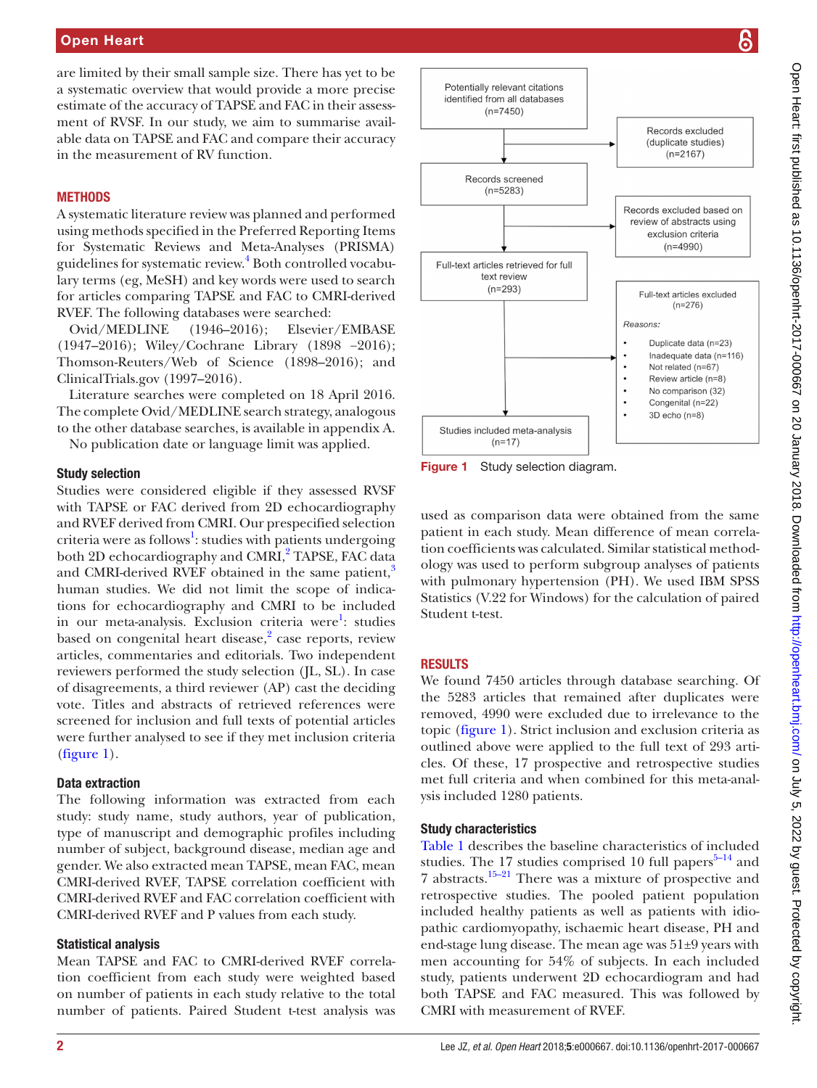are limited by their small sample size. There has yet to be a systematic overview that would provide a more precise estimate of the accuracy of TAPSE and FAC in their assessment of RVSF. In our study, we aim to summarise available data on TAPSE and FAC and compare their accuracy in the measurement of RV function.

## **METHODS**

A systematic literature review was planned and performed using methods specified in the Preferred Reporting Items for Systematic Reviews and Meta-Analyses (PRISMA) guidelines for systematic review.<sup>[4](#page-4-1)</sup> Both controlled vocabulary terms (eg, MeSH) and key words were used to search for articles comparing TAPSE and FAC to CMRI-derived RVEF. The following databases were searched:

Ovid/MEDLINE (1946–2016); Elsevier/EMBASE (1947–2016); Wiley/Cochrane Library (1898 −2016); Thomson-Reuters/Web of Science (1898–2016); and ClinicalTrials.gov (1997–2016).

Literature searches were completed on 18 April 2016. The complete Ovid/MEDLINE search strategy, analogous to the other database searches, is available in [appendix A.](https://dx.doi.org/10.1136/openhrt-2017-000667)

No publication date or language limit was applied.

# Study selection

Studies were considered eligible if they assessed RVSF with TAPSE or FAC derived from 2D echocardiography and RVEF derived from CMRI. Our prespecified selection criteria were as follows<sup>[1](#page-4-0)</sup>: studies with patients undergoing both [2](#page-4-2)D echocardiography and CMRI,<sup>2</sup> TAPSE, FAC data and CMRI-derived RVEF obtained in the same patient,<sup>[3](#page-4-3)</sup> human studies. We did not limit the scope of indications for echocardiography and CMRI to be included in our meta-analysis. Exclusion criteria were<sup>[1](#page-4-0)</sup>: studies based on congenital heart disease,<sup>[2](#page-4-2)</sup> case reports, review articles, commentaries and editorials. Two independent reviewers performed the study selection (JL, SL). In case of disagreements, a third reviewer (AP) cast the deciding vote. Titles and abstracts of retrieved references were screened for inclusion and full texts of potential articles were further analysed to see if they met inclusion criteria ([figure](#page-1-0) 1).

### Data extraction

The following information was extracted from each study: study name, study authors, year of publication, type of manuscript and demographic profiles including number of subject, background disease, median age and gender. We also extracted mean TAPSE, mean FAC, mean CMRI-derived RVEF, TAPSE correlation coefficient with CMRI-derived RVEF and FAC correlation coefficient with CMRI-derived RVEF and P values from each study.

### Statistical analysis

Mean TAPSE and FAC to CMRI-derived RVEF correlation coefficient from each study were weighted based on number of patients in each study relative to the total number of patients. Paired Student t-test analysis was



<span id="page-1-0"></span>Figure 1 Study selection diagram.

used as comparison data were obtained from the same patient in each study. Mean difference of mean correlation coefficients was calculated. Similar statistical methodology was used to perform subgroup analyses of patients with pulmonary hypertension (PH). We used IBM SPSS Statistics (V.22 for Windows) for the calculation of paired Student t-test.

# **RESULTS**

We found 7450 articles through database searching. Of the 5283 articles that remained after duplicates were removed, 4990 were excluded due to irrelevance to the topic [\(figure](#page-1-0) 1). Strict inclusion and exclusion criteria as outlined above were applied to the full text of 293 articles. Of these, 17 prospective and retrospective studies met full criteria and when combined for this meta-analysis included 1280 patients.

# Study characteristics

[Table](#page-2-0) 1 describes the baseline characteristics of included studies. The 17 studies comprised 10 full papers $5-14$  and 7 abstracts.[15–21](#page-4-5) There was a mixture of prospective and retrospective studies. The pooled patient population included healthy patients as well as patients with idiopathic cardiomyopathy, ischaemic heart disease, PH and end-stage lung disease. The mean age was 51±9 years with men accounting for 54% of subjects. In each included study, patients underwent 2D echocardiogram and had both TAPSE and FAC measured. This was followed by CMRI with measurement of RVEF.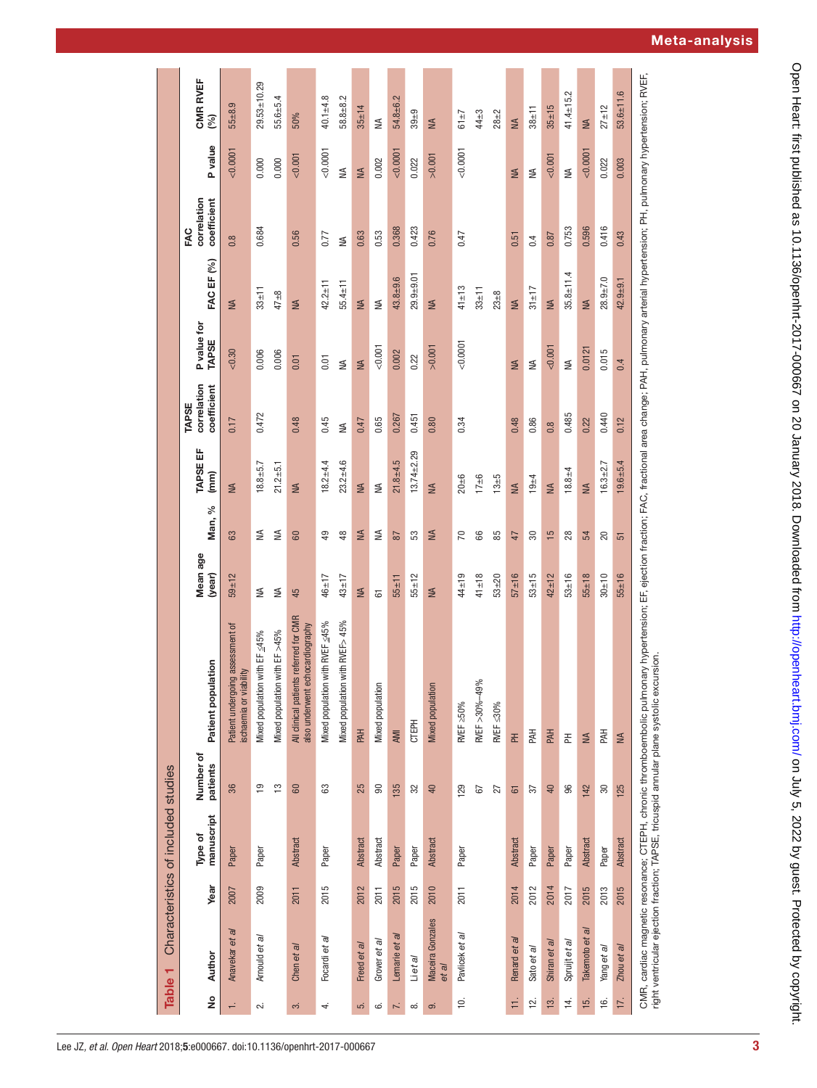<span id="page-2-0"></span>

|                | Table <sub>1</sub>            |      | Characteristics of included studies |                       |                                                                                                                                                                                                                    |                    |                 |                         |                                     |                      |                    |                                   |                  |                        |
|----------------|-------------------------------|------|-------------------------------------|-----------------------|--------------------------------------------------------------------------------------------------------------------------------------------------------------------------------------------------------------------|--------------------|-----------------|-------------------------|-------------------------------------|----------------------|--------------------|-----------------------------------|------------------|------------------------|
| $\frac{1}{2}$  | Author                        | Year | manuscript<br>Type of               | Number of<br>patients | lation<br>Patient popul                                                                                                                                                                                            | Mean age<br>(year) | వ్<br>Man,      | <b>TAPSE EF</b><br>(mm) | correlation<br>coefficient<br>TAPSE | P value for<br>TAPSE | FAC EF (%)         | correlation<br>coefficient<br>FAC | P value          | <b>CMR RVEF</b><br>(%) |
| ÷              | Anavekar et al                | 2007 | Paper                               | 36                    | Patient undergoing assessment of<br>ischaemia or viability                                                                                                                                                         | $59 + 12$          | 63              | ₹                       | 0.17                                | < 0.30               | $\leq$             | 0.8                               | < 0.0001         | $55 + 8.9$             |
| 2.             | Amould et al                  | 2009 | Paper                               | 51                    | Mixed population with EF ≤45%                                                                                                                                                                                      | ₹                  | ₹               | $8.8 + 5.7$             | 0.472                               | 0.006                | $33 + 11$          | 0.684                             | 0.000            | 29.53±10.29            |
| ကဲ             | Chen et al                    | 2011 | <b>Abstract</b>                     | $\frac{1}{2}$<br>60   | All clinical patients referred for CMR<br>also underwent echocardiography<br>with $EF > 45\%$<br>Mixed population                                                                                                  | ≨<br>45            | ₹<br>60         | $21.2 + 5.1$<br>₹       | 0.48                                | 0.006<br>0.01        | $47 + 8$<br>$\leq$ | 0.56                              | < 0.001<br>0.000 | $55.6 + 5.4$<br>50%    |
| 4.             | Focardi et al                 | 2015 | Paper                               | යි                    | with RVEF ≤45%<br>Mixed population                                                                                                                                                                                 | 46±17              | 49              | $18.2 + 4.4$            | 0.45                                | 0.01                 | $42.2 + 11$        | 0.77                              | < 0.0001         | $40.1 + 4.8$           |
|                |                               |      |                                     |                       | with RVEF> 45%<br>Mixed population                                                                                                                                                                                 | $43 + 17$          | 48              | $23.2 + 4.6$            | ≸                                   | ₹                    | $55.4 + 11$        | ₹                                 | ≸                | $58.8 + 8.2$           |
| ιó.            | Freed et al                   | 2012 | <b>Abstract</b>                     | 25                    | PAH                                                                                                                                                                                                                | $M \triangle$      | $\leq$          | $\leq$                  | 0.47                                | ₹                    | $\leq$             | 0.63                              | $\leq$           | $35 + 14$              |
| 6              | Grover et al                  | 2011 | Abstract                            | $\mathcal{S}$         | Mixed population                                                                                                                                                                                                   | 5                  | ₹               | ₹                       | 0.65                                | < 0.001              | ₹                  | 0.53                              | 0.002            | ₹                      |
| 7.             | Lemarie et al                 | 2015 | Paper                               | 135                   | AMI                                                                                                                                                                                                                | $55 + 11$          | 87              | $21.8 + 4.5$            | 0.267                               | 0.002                | $43.8 + 9.6$       | 0.368                             | < 0.0001         | $54.8 + 6.2$           |
| $\infty$       | Li et al                      | 2015 | Paper                               | 32                    | CTEPH                                                                                                                                                                                                              | $55 + 12$          | S3              | $13.74 + 2.29$          | 0.451                               | 0.22                 | $29.9 + 9.01$      | 0.423                             | 0.022            | $39 + 9$               |
| တ              | Maceira Gonzales<br>et al     | 2010 | Abstract                            | $\overline{40}$       | <b>Mixed population</b>                                                                                                                                                                                            | $\leq$             | $\leq$          | ₹                       | 0.80                                | >0.001               | $\leq$             | 0.76                              | >0.001           | $\leq$                 |
| $\Xi$          | Pavlicek et al                | 2011 | Paper                               | 129                   | RVEF ≥50%                                                                                                                                                                                                          | 44±19              | 70              | $20 + 6$                | 0.34                                | < 0.0001             | $41 + 13$          | 0.47                              | 0.0001           | $61 \pm 7$             |
|                |                               |      |                                     | 57                    | RVEF >30%-49%                                                                                                                                                                                                      | $41 + 18$          | 89              | $17 + 6$                |                                     |                      | $33 + 11$          |                                   |                  | $44 + 3$               |
|                |                               |      |                                     | 27                    | RVEF ≤30%                                                                                                                                                                                                          | $53 + 20$          | 85              | $13 + 5$                |                                     |                      | $23 + 8$           |                                   |                  | $28 + 2$               |
| Ħ,             | Renard et al                  | 2014 | <b>Abstract</b>                     | 61                    | Ŧ                                                                                                                                                                                                                  | $57 + 16$          | 47              | ₹                       | 0.48                                | ₹                    | $\leq$             | 0.51                              | $\leq$           | $\leq$                 |
| $\ddot{5}$     | Sato et al                    | 2012 | Paper                               | 57                    | PAH                                                                                                                                                                                                                | $53 + 15$          | $\overline{30}$ | $19 + 4$                | 0.86                                | ≨                    | $31 + 17$          | 0.4                               | ₹                | $38 + 11$              |
| 13.            | Shiran et al                  | 2014 | Paper                               | $\overline{40}$       | PAH                                                                                                                                                                                                                | $42 + 12$          | 15              | $\leq$                  | 0.8                                 | < 0.001              | $\leq$             | 0.87                              | < 0.001          | $35 + 15$              |
| $\overline{4}$ | Spruijt et al                 | 2017 | Paper                               | 96                    | 준                                                                                                                                                                                                                  | $53 \pm 16$        | 28              | $18.8 + 4$              | 0.485                               | ≸                    | $35.8 + 11.4$      | 0.753                             | ≨                | $41.4 \pm 15.2$        |
| 15.            | $\overline{a}$<br>Takemoto et | 2015 | <b>Abstract</b>                     | 142                   | $\leq$                                                                                                                                                                                                             | $55 + 18$          | 54              | $\leq$                  | 0.22                                | 0.0121               | $\frac{4}{\pi}$    | 0.596                             | < 0.0001         | MA                     |
| <u>َ¢ا</u>     | Yang et al                    | 2013 | Paper                               | $30\,$                | PAH                                                                                                                                                                                                                | $30 + 10$          | 20              | $16.3 + 2.7$            | 0.440                               | 0.015                | $28.9 + 7.0$       | 0.416                             | 0.022            | $27 + 12$              |
| 17.            | Zhou et al                    | 2015 | Abstract                            | 125                   | $\leq$                                                                                                                                                                                                             | $55 + 16$          | 51              | $19.6 + 5.4$            | 0.12                                | 0.4                  | $42.9 + 9.1$       | 0.43                              | 0.003            | $53.6 + 11.6$          |
|                |                               |      |                                     |                       | CMR, cardiac magnetic resonance; CTEPH, chronic thromboembolic pulmonary hypertension; EF, ejection fraction; FAC, fractional area change; PAH, pulmonary arterial hypertension; PH, pulmonary hypertension; RVEF, |                    |                 |                         |                                     |                      |                    |                                   |                  |                        |

right ventricular ejection fraction; TAPSE, tricuspid annular plane systolic excursion. right ventricular ejection fraction; TAPSE, tricuspid annular plane systolic excursion.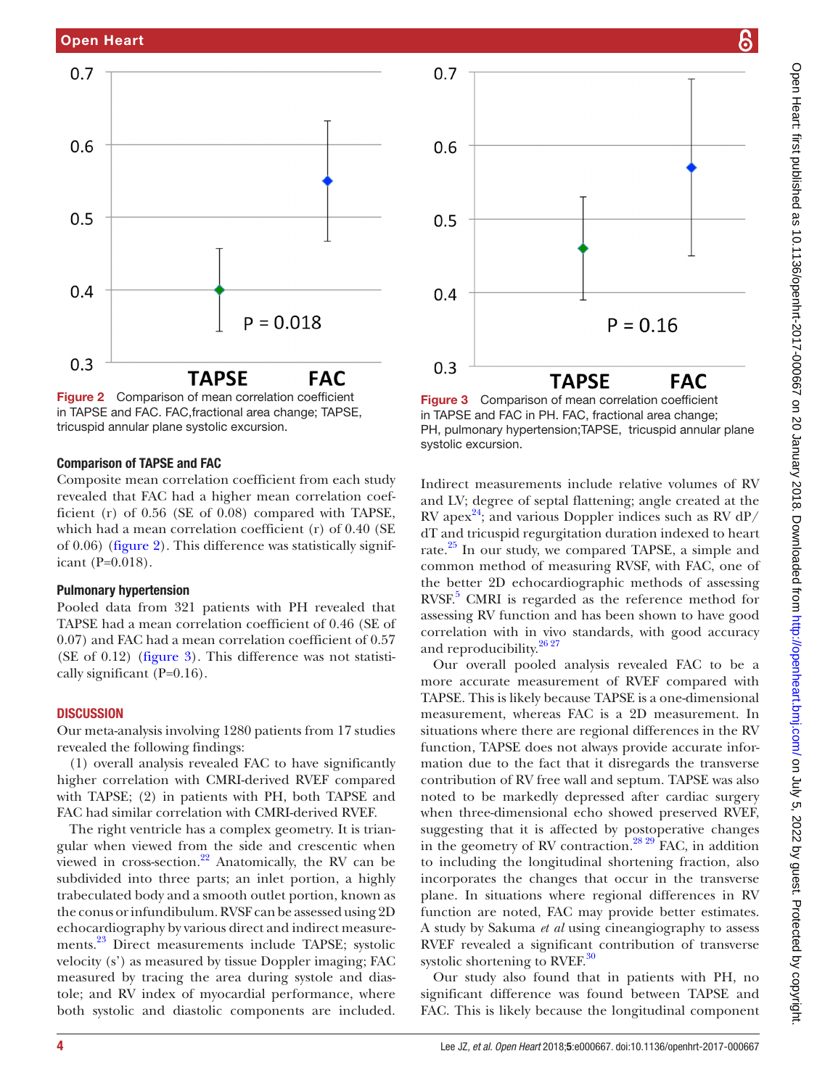

<span id="page-3-0"></span>Figure 2 Comparison of mean correlation coefficient in TAPSE and FAC. FAC,fractional area change; TAPSE, tricuspid annular plane systolic excursion.

#### Comparison of TAPSE and FAC

Composite mean correlation coefficient from each study revealed that FAC had a higher mean correlation coefficient (r) of 0.56 (SE of 0.08) compared with TAPSE, which had a mean correlation coefficient (r) of 0.40 (SE of 0.06) ([figure](#page-3-0) 2). This difference was statistically significant (P=0.018).

#### Pulmonary hypertension

Pooled data from 321 patients with PH revealed that TAPSE had a mean correlation coefficient of 0.46 (SE of 0.07) and FAC had a mean correlation coefficient of 0.57 (SE of 0.12) ([figure](#page-3-1) 3). This difference was not statistically significant  $(P=0.16)$ .

#### **DISCUSSION**

Our meta-analysis involving 1280 patients from 17 studies revealed the following findings:

(1) overall analysis revealed FAC to have significantly higher correlation with CMRI-derived RVEF compared with TAPSE; (2) in patients with PH, both TAPSE and FAC had similar correlation with CMRI-derived RVEF.

The right ventricle has a complex geometry. It is triangular when viewed from the side and crescentic when viewed in cross-section. $22$  Anatomically, the RV can be subdivided into three parts; an inlet portion, a highly trabeculated body and a smooth outlet portion, known as the conus or infundibulum. RVSF can be assessed using 2D echocardiography by various direct and indirect measurements.<sup>23</sup> Direct measurements include TAPSE; systolic velocity (s') as measured by tissue Doppler imaging; FAC measured by tracing the area during systole and diastole; and RV index of myocardial performance, where both systolic and diastolic components are included.



<span id="page-3-1"></span>Figure 3 Comparison of mean correlation coefficient in TAPSE and FAC in PH. FAC, fractional area change; PH, pulmonary hypertension;TAPSE, tricuspid annular plane systolic excursion.

Indirect measurements include relative volumes of RV and LV; degree of septal flattening; angle created at the RV apex<sup>24</sup>; and various Doppler indices such as RV dP/ dT and tricuspid regurgitation duration indexed to heart rate.<sup>25</sup> In our study, we compared TAPSE, a simple and common method of measuring RVSF, with FAC, one of the better 2D echocardiographic methods of assessing  $RVSF<sup>5</sup>$  CMRI is regarded as the reference method for assessing RV function and has been shown to have good correlation with in vivo standards, with good accuracy and reproducibility.<sup>26,27</sup>

Our overall pooled analysis revealed FAC to be a more accurate measurement of RVEF compared with TAPSE. This is likely because TAPSE is a one-dimensional measurement, whereas FAC is a 2D measurement. In situations where there are regional differences in the RV function, TAPSE does not always provide accurate information due to the fact that it disregards the transverse contribution of RV free wall and septum. TAPSE was also noted to be markedly depressed after cardiac surgery when three-dimensional echo showed preserved RVEF, suggesting that it is affected by postoperative changes in the geometry of RV contraction.<sup>28 29</sup> FAC, in addition to including the longitudinal shortening fraction, also incorporates the changes that occur in the transverse plane. In situations where regional differences in RV function are noted, FAC may provide better estimates. A study by Sakuma *et al* using cineangiography to assess RVEF revealed a significant contribution of transverse systolic shortening to RVEF.<sup>[30](#page-5-6)</sup>

Our study also found that in patients with PH, no significant difference was found between TAPSE and FAC. This is likely because the longitudinal component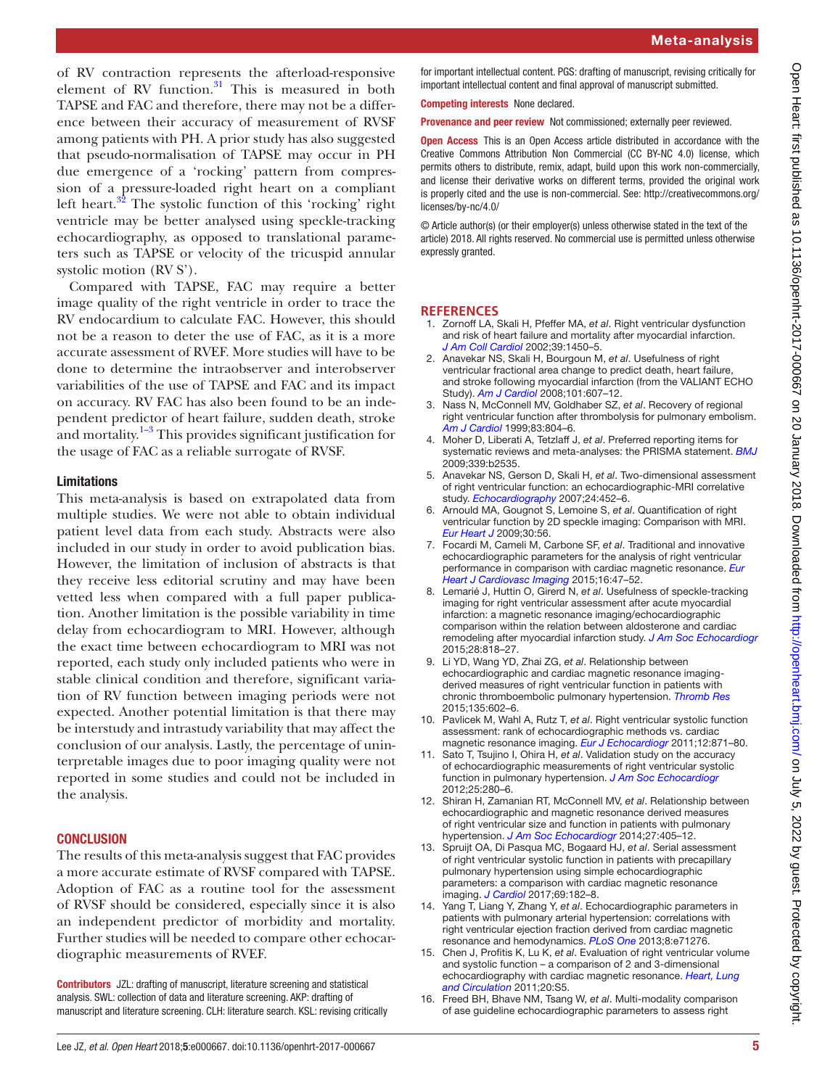Open Heart: first published as 10.1136/openhrt-2017-000667 on 20 January 2018. Downloaded from http://openheart.bmj.com/ on July 5, 2022 by guest. Protected by copyright Open Heart: first published as 10.1136/openhrt-2017-000667 on 20 January 2018. Downloaded from <http://openheart.bmj.com/> on July 5, 2022 by guest. Protected by copyright.

of RV contraction represents the afterload-responsive element of RV function. $31$  This is measured in both TAPSE and FAC and therefore, there may not be a difference between their accuracy of measurement of RVSF among patients with PH. A prior study has also suggested that pseudo-normalisation of TAPSE may occur in PH due emergence of a 'rocking' pattern from compression of a pressure-loaded right heart on a compliant left heart. $32$  The systolic function of this 'rocking' right ventricle may be better analysed using speckle-tracking echocardiography, as opposed to translational parameters such as TAPSE or velocity of the tricuspid annular systolic motion (RV S').

Compared with TAPSE, FAC may require a better image quality of the right ventricle in order to trace the RV endocardium to calculate FAC. However, this should not be a reason to deter the use of FAC, as it is a more accurate assessment of RVEF. More studies will have to be done to determine the intraobserver and interobserver variabilities of the use of TAPSE and FAC and its impact on accuracy. RV FAC has also been found to be an independent predictor of heart failure, sudden death, stroke and mortality. $1-3$  This provides significant justification for the usage of FAC as a reliable surrogate of RVSF.

#### **Limitations**

This meta-analysis is based on extrapolated data from multiple studies. We were not able to obtain individual patient level data from each study. Abstracts were also included in our study in order to avoid publication bias. However, the limitation of inclusion of abstracts is that they receive less editorial scrutiny and may have been vetted less when compared with a full paper publication. Another limitation is the possible variability in time delay from echocardiogram to MRI. However, although the exact time between echocardiogram to MRI was not reported, each study only included patients who were in stable clinical condition and therefore, significant variation of RV function between imaging periods were not expected. Another potential limitation is that there may be interstudy and intrastudy variability that may affect the conclusion of our analysis. Lastly, the percentage of uninterpretable images due to poor imaging quality were not reported in some studies and could not be included in the analysis.

### **CONCLUSION**

The results of this meta-analysis suggest that FAC provides a more accurate estimate of RVSF compared with TAPSE. Adoption of FAC as a routine tool for the assessment of RVSF should be considered, especially since it is also an independent predictor of morbidity and mortality. Further studies will be needed to compare other echocardiographic measurements of RVEF.

Contributors JZL: drafting of manuscript, literature screening and statistical analysis. SWL: collection of data and literature screening. AKP: drafting of manuscript and literature screening. CLH: literature search. KSL: revising critically for important intellectual content. PGS: drafting of manuscript, revising critically for important intellectual content and final approval of manuscript submitted.

Competing interests None declared.

Provenance and peer review Not commissioned; externally peer reviewed.

**Open Access** This is an Open Access article distributed in accordance with the Creative Commons Attribution Non Commercial (CC BY-NC 4.0) license, which permits others to distribute, remix, adapt, build upon this work non-commercially, and license their derivative works on different terms, provided the original work is properly cited and the use is non-commercial. See: [http://creativecommons.org/](http://creativecommons.org/licenses/by-nc/4.0/) [licenses/by-nc/4.0/](http://creativecommons.org/licenses/by-nc/4.0/)

© Article author(s) (or their employer(s) unless otherwise stated in the text of the article) 2018. All rights reserved. No commercial use is permitted unless otherwise expressly granted.

# **References**

- <span id="page-4-0"></span>1. Zornoff LA, Skali H, Pfeffer MA, *et al*. Right ventricular dysfunction and risk of heart failure and mortality after myocardial infarction. *[J Am Coll Cardiol](http://dx.doi.org/10.1016/S0735-1097(02)01804-1)* 2002;39:1450–5.
- <span id="page-4-2"></span>2. Anavekar NS, Skali H, Bourgoun M, *et al*. Usefulness of right ventricular fractional area change to predict death, heart failure, and stroke following myocardial infarction (from the VALIANT ECHO Study). *[Am J Cardiol](http://dx.doi.org/10.1016/j.amjcard.2007.09.115)* 2008;101:607–12.
- <span id="page-4-3"></span>3. Nass N, McConnell MV, Goldhaber SZ, *et al*. Recovery of regional right ventricular function after thrombolysis for pulmonary embolism. *[Am J Cardiol](http://dx.doi.org/10.1016/S0002-9149(98)01000-5)* 1999;83:804–6.
- <span id="page-4-1"></span>4. Moher D, Liberati A, Tetzlaff J, *et al*. Preferred reporting items for systematic reviews and meta-analyses: the PRISMA statement. *[BMJ](http://dx.doi.org/10.1136/bmj.b2535)* 2009;339:b2535.
- <span id="page-4-4"></span>5. Anavekar NS, Gerson D, Skali H, *et al*. Two-dimensional assessment of right ventricular function: an echocardiographic-MRI correlative study. *[Echocardiography](http://dx.doi.org/10.1111/j.1540-8175.2007.00424.x)* 2007;24:452–6.
- 6. Arnould MA, Gougnot S, Lemoine S, *et al*. Quantification of right ventricular function by 2D speckle imaging: Comparison with MRI. *Eur Heart J* 2009;30:56.
- 7. Focardi M, Cameli M, Carbone SF, *et al*. Traditional and innovative echocardiographic parameters for the analysis of right ventricular performance in comparison with cardiac magnetic resonance. *[Eur](http://dx.doi.org/10.1093/ehjci/jeu156)  [Heart J Cardiovasc Imaging](http://dx.doi.org/10.1093/ehjci/jeu156)* 2015;16:47–52.
- 8. Lemarié J, Huttin O, Girerd N, *et al*. Usefulness of speckle-tracking imaging for right ventricular assessment after acute myocardial infarction: a magnetic resonance imaging/echocardiographic comparison within the relation between aldosterone and cardiac remodeling after myocardial infarction study. *[J Am Soc Echocardiogr](http://dx.doi.org/10.1016/j.echo.2015.02.019)* 2015;28:818–27.
- 9. Li YD, Wang YD, Zhai ZG, *et al*. Relationship between echocardiographic and cardiac magnetic resonance imagingderived measures of right ventricular function in patients with chronic thromboembolic pulmonary hypertension. *[Thromb Res](http://dx.doi.org/10.1016/j.thromres.2015.01.008)* 2015;135:602–6.
- 10. Pavlicek M, Wahl A, Rutz T, *et al*. Right ventricular systolic function assessment: rank of echocardiographic methods vs. cardiac magnetic resonance imaging. *[Eur J Echocardiogr](http://dx.doi.org/10.1093/ejechocard/jer138)* 2011;12:871–80.
- 11. Sato T, Tsujino I, Ohira H, *et al*. Validation study on the accuracy of echocardiographic measurements of right ventricular systolic function in pulmonary hypertension. *[J Am Soc Echocardiogr](http://dx.doi.org/10.1016/j.echo.2011.12.012)* 2012;25:280–6.
- 12. Shiran H, Zamanian RT, McConnell MV, *et al*. Relationship between echocardiographic and magnetic resonance derived measures of right ventricular size and function in patients with pulmonary hypertension. *[J Am Soc Echocardiogr](http://dx.doi.org/10.1016/j.echo.2013.12.011)* 2014;27:405–12.
- 13. Spruijt OA, Di Pasqua MC, Bogaard HJ, *et al*. Serial assessment of right ventricular systolic function in patients with precapillary pulmonary hypertension using simple echocardiographic parameters: a comparison with cardiac magnetic resonance imaging. *[J Cardiol](http://dx.doi.org/10.1016/j.jjcc.2016.02.019)* 2017;69:182–8.
- 14. Yang T, Liang Y, Zhang Y, *et al*. Echocardiographic parameters in patients with pulmonary arterial hypertension: correlations with right ventricular ejection fraction derived from cardiac magnetic resonance and hemodynamics. *[PLoS One](http://dx.doi.org/10.1371/journal.pone.0071276)* 2013;8:e71276.
- <span id="page-4-5"></span>15. Chen J, Profitis K, Lu K, *et al*. Evaluation of right ventricular volume and systolic function – a comparison of 2 and 3-dimensional echocardiography with cardiac magnetic resonance. *[Heart, Lung](http://dx.doi.org/10.1016/j.hlc.2011.05.012)  [and Circulation](http://dx.doi.org/10.1016/j.hlc.2011.05.012)* 2011;20:S5.
- 16. Freed BH, Bhave NM, Tsang W, *et al*. Multi-modality comparison of ase guideline echocardiographic parameters to assess right